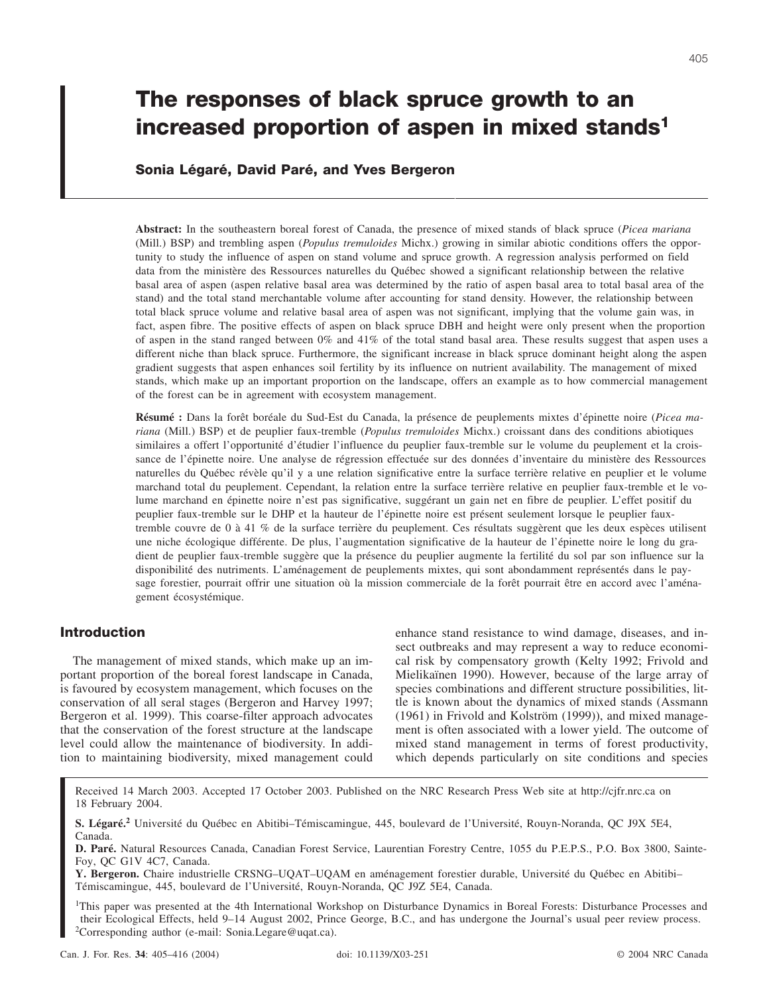# **The responses of black spruce growth to an increased proportion of aspen in mixed stands1**

# **Sonia Légaré, David Paré, and Yves Bergeron**

**Abstract:** In the southeastern boreal forest of Canada, the presence of mixed stands of black spruce (*Picea mariana* (Mill.) BSP) and trembling aspen (*Populus tremuloides* Michx.) growing in similar abiotic conditions offers the opportunity to study the influence of aspen on stand volume and spruce growth. A regression analysis performed on field data from the ministère des Ressources naturelles du Québec showed a significant relationship between the relative basal area of aspen (aspen relative basal area was determined by the ratio of aspen basal area to total basal area of the stand) and the total stand merchantable volume after accounting for stand density. However, the relationship between total black spruce volume and relative basal area of aspen was not significant, implying that the volume gain was, in fact, aspen fibre. The positive effects of aspen on black spruce DBH and height were only present when the proportion of aspen in the stand ranged between  $0\%$  and  $41\%$  of the total stand basal area. These results suggest that aspen uses a different niche than black spruce. Furthermore, the significant increase in black spruce dominant height along the aspen gradient suggests that aspen enhances soil fertility by its influence on nutrient availability. The management of mixed stands, which make up an important proportion on the landscape, offers an example as to how commercial management of the forest can be in agreement with ecosystem management.

**Résumé :** Dans la forêt boréale du Sud-Est du Canada, la présence de peuplements mixtes d'épinette noire (*Picea mariana* (Mill.) BSP) et de peuplier faux-tremble (*Populus tremuloides* Michx.) croissant dans des conditions abiotiques similaires a offert l'opportunité d'étudier l'influence du peuplier faux-tremble sur le volume du peuplement et la croissance de l'épinette noire. Une analyse de régression effectuée sur des données d'inventaire du ministère des Ressources naturelles du Québec révèle qu'il y a une relation significative entre la surface terrière relative en peuplier et le volume marchand total du peuplement. Cependant, la relation entre la surface terrière relative en peuplier faux-tremble et le volume marchand en épinette noire n'est pas significative, suggérant un gain net en fibre de peuplier. L'effet positif du peuplier faux-tremble sur le DHP et la hauteur de l'épinette noire est présent seulement lorsque le peuplier fauxtremble couvre de 0 à 41 % de la surface terrière du peuplement. Ces résultats suggèrent que les deux espèces utilisent une niche écologique différente. De plus, l'augmentation significative de la hauteur de l'épinette noire le long du gradient de peuplier faux-tremble suggère que la présence du peuplier augmente la fertilité du sol par son influence sur la disponibilité des nutriments. L'aménagement de peuplements mixtes, qui sont abondamment représentés dans le paysage forestier, pourrait offrir une situation où la mission commerciale de la forêt pourrait être en accord avec l'aménagement écosystémique.

# **Introduction**

The management of mixed stands, which make up an important proportion of the boreal forest landscape in Canada, is favoured by ecosystem management, which focuses on the conservation of all seral stages (Bergeron and Harvey 1997; Bergeron et al. 1999). This coarse-filter approach advocates that the conservation of the forest structure at the landscape level could allow the maintenance of biodiversity. In addition to maintaining biodiversity, mixed management could enhance stand resistance to wind damage, diseases, and insect outbreaks and may represent a way to reduce economical risk by compensatory growth (Kelty 1992; Frivold and Mielikaïnen 1990). However, because of the large array of species combinations and different structure possibilities, little is known about the dynamics of mixed stands (Assmann (1961) in Frivold and Kolström (1999)), and mixed management is often associated with a lower yield. The outcome of mixed stand management in terms of forest productivity, which depends particularly on site conditions and species

Received 14 March 2003. Accepted 17 October 2003. Published on the NRC Research Press Web site at http://cjfr.nrc.ca on 18 February 2004.

<sup>1</sup>This paper was presented at the 4th International Workshop on Disturbance Dynamics in Boreal Forests: Disturbance Processes and their Ecological Effects, held 9–14 August 2002, Prince George, B.C., and has undergone the Journal's usual peer review process. <sup>2</sup>Corresponding author (e-mail: Sonia.Legare@uqat.ca).

**S. Légaré.<sup>2</sup>** Université du Québec en Abitibi–Témiscamingue, 445, boulevard de l'Université, Rouyn-Noranda, QC J9X 5E4, Canada.

**D. Paré.** Natural Resources Canada, Canadian Forest Service, Laurentian Forestry Centre, 1055 du P.E.P.S., P.O. Box 3800, Sainte-Foy, QC G1V 4C7, Canada.

**Y. Bergeron.** Chaire industrielle CRSNG–UQAT–UQAM en aménagement forestier durable, Université du Québec en Abitibi– Témiscamingue, 445, boulevard de l'Université, Rouyn-Noranda, QC J9Z 5E4, Canada.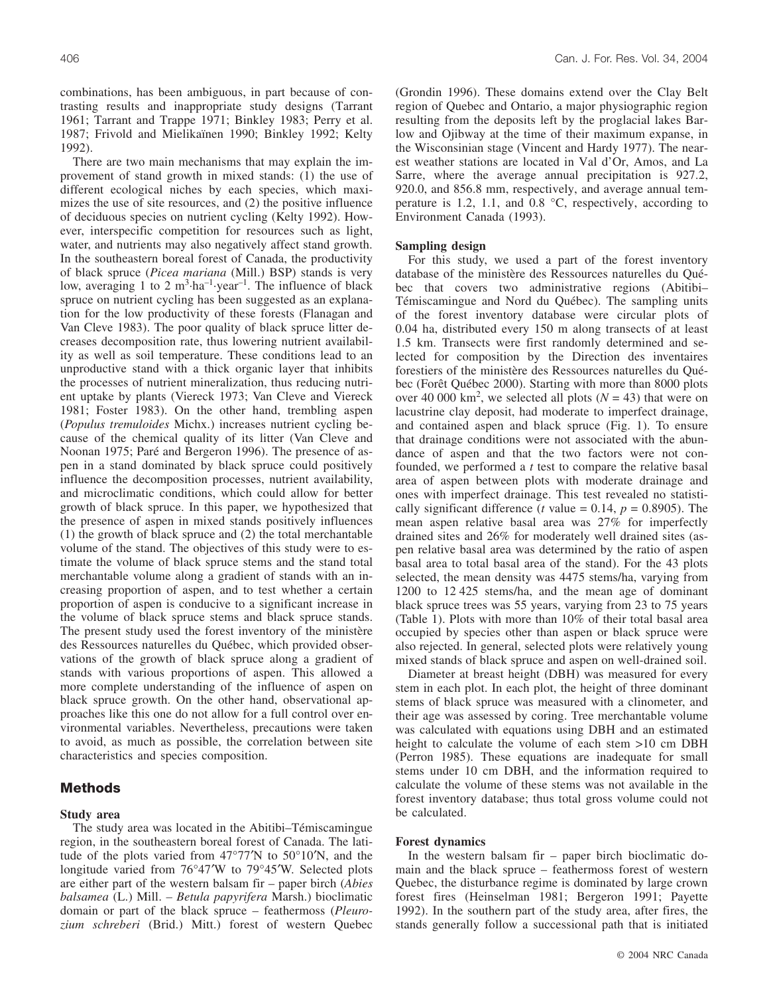combinations, has been ambiguous, in part because of contrasting results and inappropriate study designs (Tarrant 1961; Tarrant and Trappe 1971; Binkley 1983; Perry et al. 1987; Frivold and Mielikaïnen 1990; Binkley 1992; Kelty 1992).

There are two main mechanisms that may explain the improvement of stand growth in mixed stands: (1) the use of different ecological niches by each species, which maximizes the use of site resources, and (2) the positive influence of deciduous species on nutrient cycling (Kelty 1992). However, interspecific competition for resources such as light, water, and nutrients may also negatively affect stand growth. In the southeastern boreal forest of Canada, the productivity of black spruce (*Picea mariana* (Mill.) BSP) stands is very low, averaging 1 to 2  $m^3$ ·ha<sup>-1</sup>·year<sup>-1</sup>. The influence of black spruce on nutrient cycling has been suggested as an explanation for the low productivity of these forests (Flanagan and Van Cleve 1983). The poor quality of black spruce litter decreases decomposition rate, thus lowering nutrient availability as well as soil temperature. These conditions lead to an unproductive stand with a thick organic layer that inhibits the processes of nutrient mineralization, thus reducing nutrient uptake by plants (Viereck 1973; Van Cleve and Viereck 1981; Foster 1983). On the other hand, trembling aspen (*Populus tremuloides* Michx.) increases nutrient cycling because of the chemical quality of its litter (Van Cleve and Noonan 1975; Paré and Bergeron 1996). The presence of aspen in a stand dominated by black spruce could positively influence the decomposition processes, nutrient availability, and microclimatic conditions, which could allow for better growth of black spruce. In this paper, we hypothesized that the presence of aspen in mixed stands positively influences (1) the growth of black spruce and (2) the total merchantable volume of the stand. The objectives of this study were to estimate the volume of black spruce stems and the stand total merchantable volume along a gradient of stands with an increasing proportion of aspen, and to test whether a certain proportion of aspen is conducive to a significant increase in the volume of black spruce stems and black spruce stands. The present study used the forest inventory of the ministère des Ressources naturelles du Québec, which provided observations of the growth of black spruce along a gradient of stands with various proportions of aspen. This allowed a more complete understanding of the influence of aspen on black spruce growth. On the other hand, observational approaches like this one do not allow for a full control over environmental variables. Nevertheless, precautions were taken to avoid, as much as possible, the correlation between site characteristics and species composition.

## **Methods**

## **Study area**

The study area was located in the Abitibi–Témiscamingue region, in the southeastern boreal forest of Canada. The latitude of the plots varied from 47°77′N to 50°10′N, and the longitude varied from 76°47′W to 79°45′W. Selected plots are either part of the western balsam fir – paper birch (*Abies balsamea* (L.) Mill. *– Betula papyrifera* Marsh.) bioclimatic domain or part of the black spruce – feathermoss (*Pleurozium schreberi* (Brid.) Mitt.) forest of western Quebec (Grondin 1996). These domains extend over the Clay Belt region of Quebec and Ontario, a major physiographic region resulting from the deposits left by the proglacial lakes Barlow and Ojibway at the time of their maximum expanse, in the Wisconsinian stage (Vincent and Hardy 1977). The nearest weather stations are located in Val d'Or, Amos, and La Sarre, where the average annual precipitation is 927.2, 920.0, and 856.8 mm, respectively, and average annual temperature is 1.2, 1.1, and 0.8 °C, respectively, according to Environment Canada (1993).

## **Sampling design**

For this study, we used a part of the forest inventory database of the ministère des Ressources naturelles du Québec that covers two administrative regions (Abitibi– Témiscamingue and Nord du Québec). The sampling units of the forest inventory database were circular plots of 0.04 ha, distributed every 150 m along transects of at least 1.5 km. Transects were first randomly determined and selected for composition by the Direction des inventaires forestiers of the ministère des Ressources naturelles du Québec (Forêt Québec 2000). Starting with more than 8000 plots over 40 000 km<sup>2</sup>, we selected all plots ( $N = 43$ ) that were on lacustrine clay deposit, had moderate to imperfect drainage, and contained aspen and black spruce (Fig. 1). To ensure that drainage conditions were not associated with the abundance of aspen and that the two factors were not confounded, we performed a *t* test to compare the relative basal area of aspen between plots with moderate drainage and ones with imperfect drainage. This test revealed no statistically significant difference (*t* value = 0.14,  $p = 0.8905$ ). The mean aspen relative basal area was 27% for imperfectly drained sites and 26% for moderately well drained sites (aspen relative basal area was determined by the ratio of aspen basal area to total basal area of the stand). For the 43 plots selected, the mean density was 4475 stems/ha, varying from 1200 to 12 425 stems/ha, and the mean age of dominant black spruce trees was 55 years, varying from 23 to 75 years (Table 1). Plots with more than 10% of their total basal area occupied by species other than aspen or black spruce were also rejected. In general, selected plots were relatively young mixed stands of black spruce and aspen on well-drained soil.

Diameter at breast height (DBH) was measured for every stem in each plot. In each plot, the height of three dominant stems of black spruce was measured with a clinometer, and their age was assessed by coring. Tree merchantable volume was calculated with equations using DBH and an estimated height to calculate the volume of each stem >10 cm DBH (Perron 1985). These equations are inadequate for small stems under 10 cm DBH, and the information required to calculate the volume of these stems was not available in the forest inventory database; thus total gross volume could not be calculated.

## **Forest dynamics**

In the western balsam fir – paper birch bioclimatic domain and the black spruce – feathermoss forest of western Quebec, the disturbance regime is dominated by large crown forest fires (Heinselman 1981; Bergeron 1991; Payette 1992). In the southern part of the study area, after fires, the stands generally follow a successional path that is initiated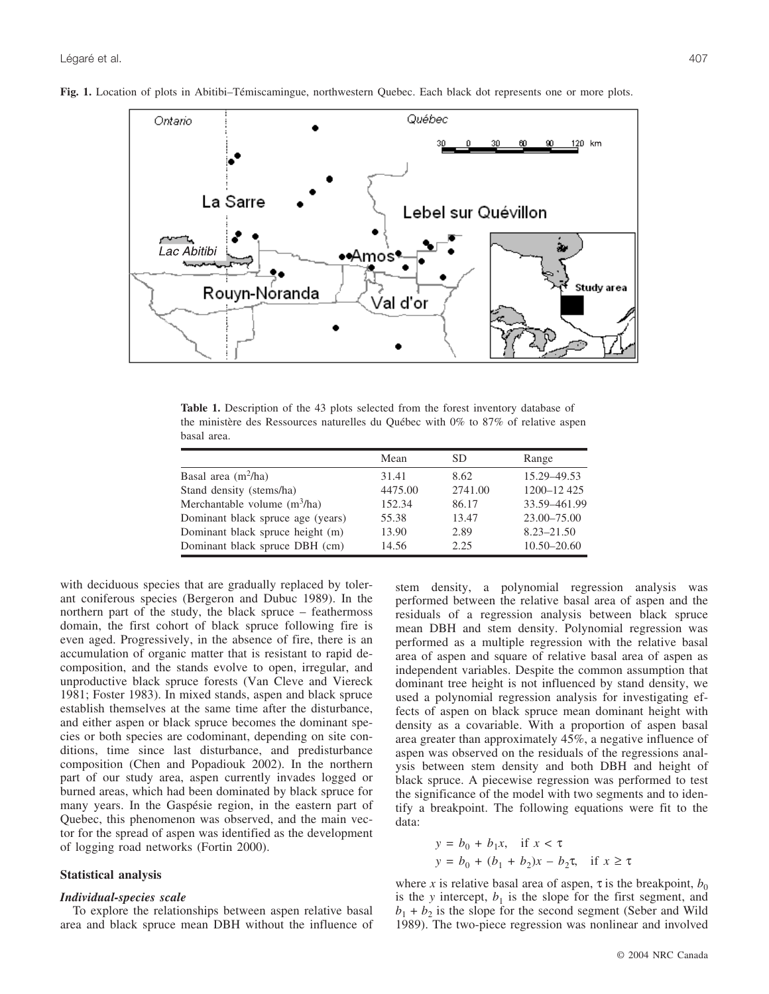

**Fig. 1.** Location of plots in Abitibi–Témiscamingue, northwestern Quebec. Each black dot represents one or more plots.

**Table 1.** Description of the 43 plots selected from the forest inventory database of the ministère des Ressources naturelles du Québec with 0% to 87% of relative aspen basal area.

|                                   | Mean    | <b>SD</b> | Range          |
|-----------------------------------|---------|-----------|----------------|
| Basal area $(m^2/ha)$             | 31.41   | 8.62      | 15.29 - 49.53  |
| Stand density (stems/ha)          | 4475.00 | 2741.00   | 1200-12425     |
| Merchantable volume $(m^3/ha)$    | 152.34  | 86.17     | 33.59-461.99   |
| Dominant black spruce age (years) | 55.38   | 13.47     | 23.00-75.00    |
| Dominant black spruce height (m)  | 13.90   | 2.89      | $8.23 - 21.50$ |
| Dominant black spruce DBH (cm)    | 14.56   | 2.25      | 10.50-20.60    |

with deciduous species that are gradually replaced by tolerant coniferous species (Bergeron and Dubuc 1989). In the northern part of the study, the black spruce – feathermoss domain, the first cohort of black spruce following fire is even aged. Progressively, in the absence of fire, there is an accumulation of organic matter that is resistant to rapid decomposition, and the stands evolve to open, irregular, and unproductive black spruce forests (Van Cleve and Viereck 1981; Foster 1983). In mixed stands, aspen and black spruce establish themselves at the same time after the disturbance, and either aspen or black spruce becomes the dominant species or both species are codominant, depending on site conditions, time since last disturbance, and predisturbance composition (Chen and Popadiouk 2002). In the northern part of our study area, aspen currently invades logged or burned areas, which had been dominated by black spruce for many years. In the Gaspésie region, in the eastern part of Quebec, this phenomenon was observed, and the main vector for the spread of aspen was identified as the development of logging road networks (Fortin 2000).

## **Statistical analysis**

## *Individual-species scale*

To explore the relationships between aspen relative basal area and black spruce mean DBH without the influence of stem density, a polynomial regression analysis was performed between the relative basal area of aspen and the residuals of a regression analysis between black spruce mean DBH and stem density. Polynomial regression was performed as a multiple regression with the relative basal area of aspen and square of relative basal area of aspen as independent variables. Despite the common assumption that dominant tree height is not influenced by stand density, we used a polynomial regression analysis for investigating effects of aspen on black spruce mean dominant height with density as a covariable. With a proportion of aspen basal area greater than approximately 45%, a negative influence of aspen was observed on the residuals of the regressions analysis between stem density and both DBH and height of black spruce. A piecewise regression was performed to test the significance of the model with two segments and to identify a breakpoint. The following equations were fit to the data:

$$
y = b_0 + b_1 x, \text{ if } x < \tau
$$
  

$$
y = b_0 + (b_1 + b_2)x - b_2 \tau, \text{ if } x \ge \tau
$$

where *x* is relative basal area of aspen,  $\tau$  is the breakpoint,  $b_0$ is the *y* intercept,  $b_1$  is the slope for the first segment, and  $b_1 + b_2$  is the slope for the second segment (Seber and Wild 1989). The two-piece regression was nonlinear and involved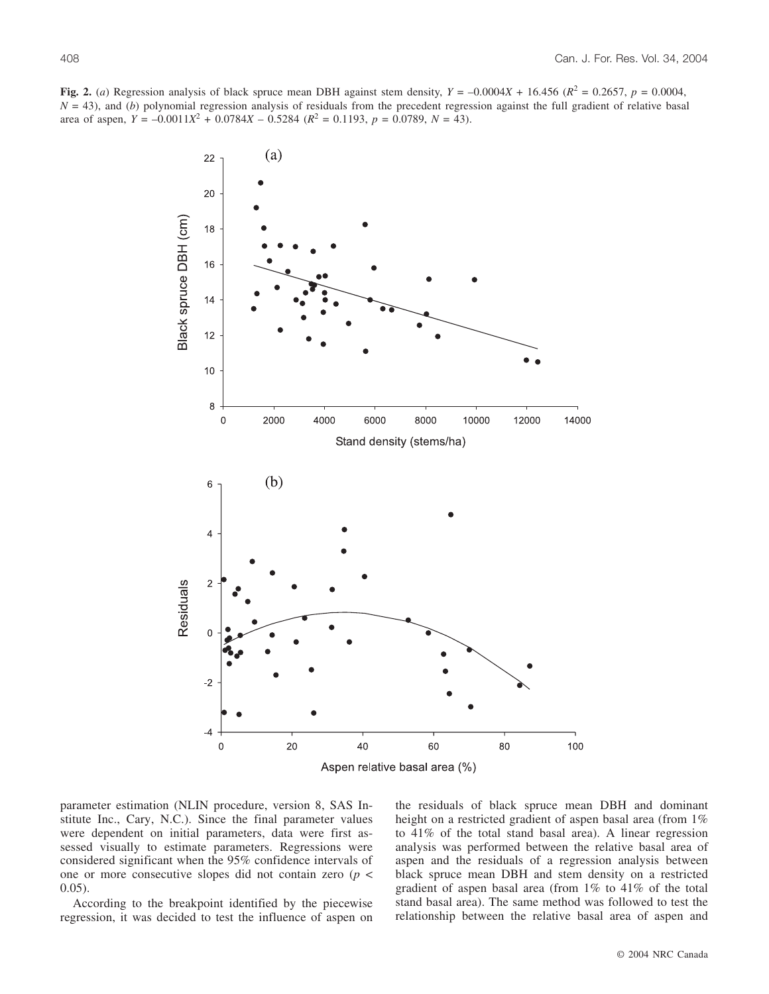**Fig. 2.** (*a*) Regression analysis of black spruce mean DBH against stem density,  $Y = -0.0004X + 16.456$  ( $R^2 = 0.2657$ ,  $p = 0.0004$ ,  $N = 43$ ), and (*b*) polynomial regression analysis of residuals from the precedent regression against the full gradient of relative basal area of aspen,  $Y = -0.0011X^2 + 0.0784X - 0.5284$  ( $R^2 = 0.1193$ ,  $p = 0.0789$ ,  $N = 43$ ).



parameter estimation (NLIN procedure, version 8, SAS Institute Inc., Cary, N.C.). Since the final parameter values were dependent on initial parameters, data were first assessed visually to estimate parameters. Regressions were considered significant when the 95% confidence intervals of one or more consecutive slopes did not contain zero (*p* < 0.05).

According to the breakpoint identified by the piecewise regression, it was decided to test the influence of aspen on the residuals of black spruce mean DBH and dominant height on a restricted gradient of aspen basal area (from 1%) to 41% of the total stand basal area). A linear regression analysis was performed between the relative basal area of aspen and the residuals of a regression analysis between black spruce mean DBH and stem density on a restricted gradient of aspen basal area (from 1% to 41% of the total stand basal area). The same method was followed to test the relationship between the relative basal area of aspen and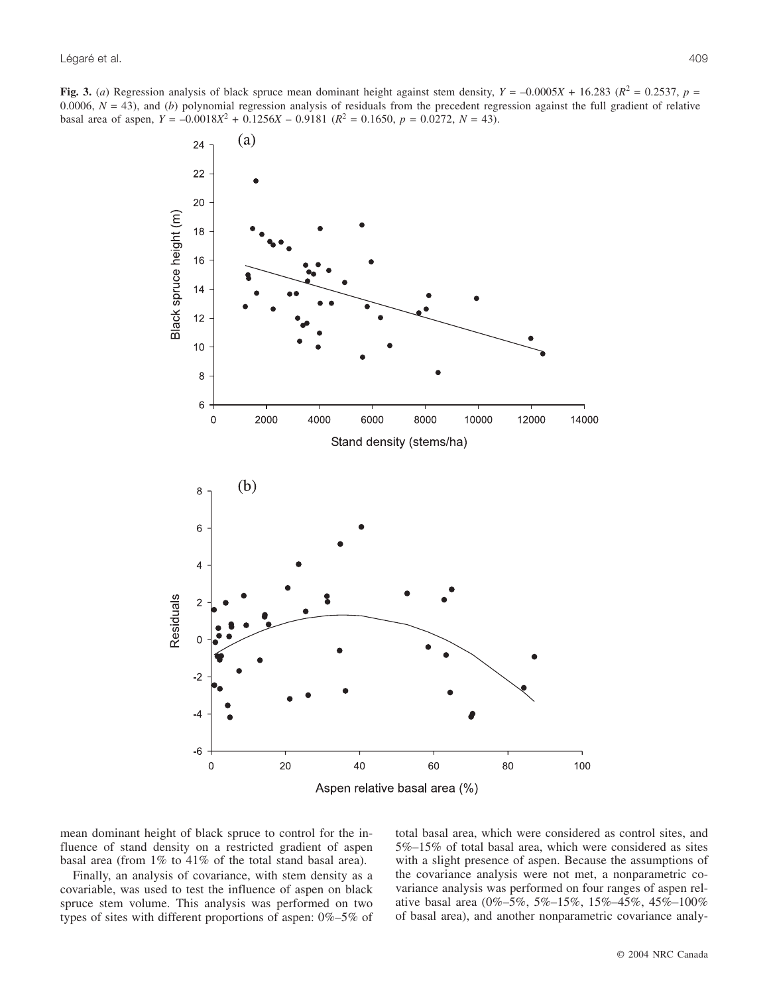**Fig. 3.** (*a*) Regression analysis of black spruce mean dominant height against stem density,  $Y = -0.0005X + 16.283$  ( $R^2 = 0.2537$ ,  $p =$ 0.0006,  $N = 43$ ), and (*b*) polynomial regression analysis of residuals from the precedent regression against the full gradient of relative basal area of aspen,  $Y = -0.0018X^2 + 0.1256X - 0.9181$  ( $R^2 = 0.1650$ ,  $p = 0.0272$ ,  $N = 43$ ).



mean dominant height of black spruce to control for the influence of stand density on a restricted gradient of aspen basal area (from 1% to 41% of the total stand basal area).

Finally, an analysis of covariance, with stem density as a covariable, was used to test the influence of aspen on black spruce stem volume. This analysis was performed on two types of sites with different proportions of aspen: 0%–5% of total basal area, which were considered as control sites, and 5%–15% of total basal area, which were considered as sites with a slight presence of aspen. Because the assumptions of the covariance analysis were not met, a nonparametric covariance analysis was performed on four ranges of aspen relative basal area (0%–5%, 5%–15%, 15%–45%, 45%–100% of basal area), and another nonparametric covariance analy-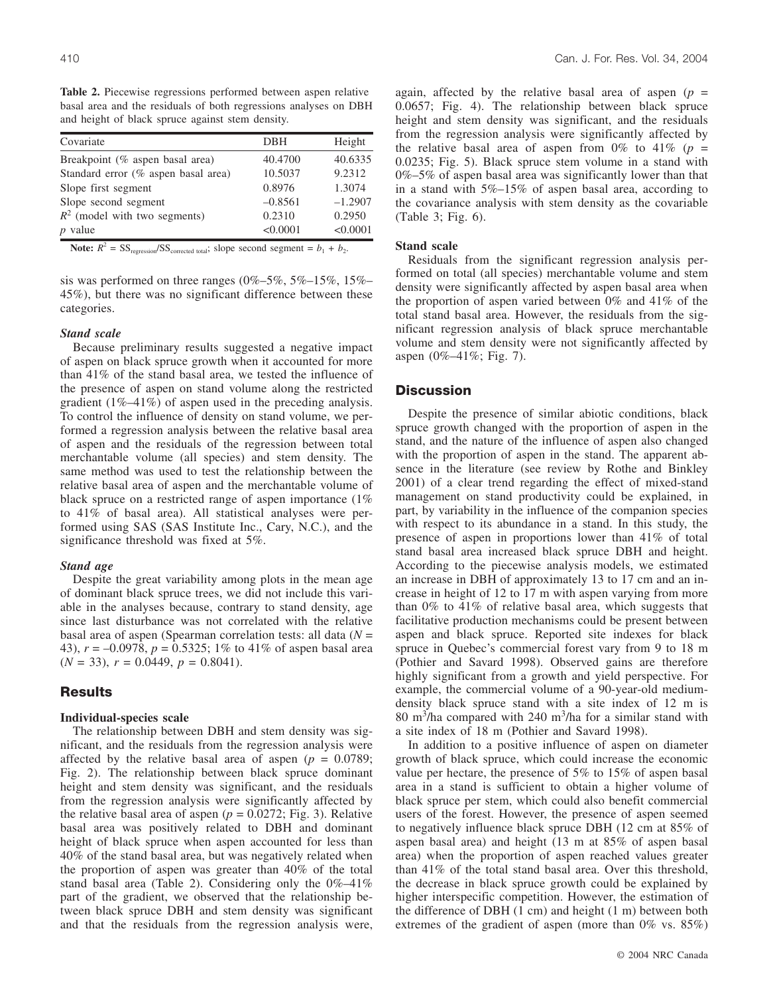**Table 2.** Piecewise regressions performed between aspen relative basal area and the residuals of both regressions analyses on DBH and height of black spruce against stem density.

| Covariate                           | DBH       | Height    |
|-------------------------------------|-----------|-----------|
| Breakpoint (% aspen basal area)     | 40.4700   | 40.6335   |
| Standard error (% aspen basal area) | 10.5037   | 9.2312    |
| Slope first segment                 | 0.8976    | 1.3074    |
| Slope second segment                | $-0.8561$ | $-1.2907$ |
| $R^2$ (model with two segments)     | 0.2310    | 0.2950    |
| $p$ value                           | < 0.0001  | < 0.0001  |

**Note:**  $R^2 = SS_{\text{regression}}/SS_{\text{corrected total}}$ ; slope second segment =  $b_1 + b_2$ .

sis was performed on three ranges  $(0\% - 5\%, 5\% - 15\%, 15\% - 15\%)$ 45%), but there was no significant difference between these categories.

#### *Stand scale*

Because preliminary results suggested a negative impact of aspen on black spruce growth when it accounted for more than 41% of the stand basal area, we tested the influence of the presence of aspen on stand volume along the restricted gradient (1%–41%) of aspen used in the preceding analysis. To control the influence of density on stand volume, we performed a regression analysis between the relative basal area of aspen and the residuals of the regression between total merchantable volume (all species) and stem density. The same method was used to test the relationship between the relative basal area of aspen and the merchantable volume of black spruce on a restricted range of aspen importance (1% to 41% of basal area). All statistical analyses were performed using SAS (SAS Institute Inc., Cary, N.C.), and the significance threshold was fixed at 5%.

## *Stand age*

Despite the great variability among plots in the mean age of dominant black spruce trees, we did not include this variable in the analyses because, contrary to stand density, age since last disturbance was not correlated with the relative basal area of aspen (Spearman correlation tests: all data (*N* = 43), *r* = –0.0978, *p* = 0.5325; 1% to 41% of aspen basal area  $(N = 33)$ ,  $r = 0.0449$ ,  $p = 0.8041$ ).

# **Results**

## **Individual-species scale**

The relationship between DBH and stem density was significant, and the residuals from the regression analysis were affected by the relative basal area of aspen  $(p = 0.0789)$ ; Fig. 2). The relationship between black spruce dominant height and stem density was significant, and the residuals from the regression analysis were significantly affected by the relative basal area of aspen  $(p = 0.0272;$  Fig. 3). Relative basal area was positively related to DBH and dominant height of black spruce when aspen accounted for less than 40% of the stand basal area, but was negatively related when the proportion of aspen was greater than 40% of the total stand basal area (Table 2). Considering only the 0%–41% part of the gradient, we observed that the relationship between black spruce DBH and stem density was significant and that the residuals from the regression analysis were,

again, affected by the relative basal area of aspen  $(p =$ 0.0657; Fig. 4). The relationship between black spruce height and stem density was significant, and the residuals from the regression analysis were significantly affected by the relative basal area of aspen from  $0\%$  to  $41\%$  ( $p =$ 0.0235; Fig. 5). Black spruce stem volume in a stand with 0%–5% of aspen basal area was significantly lower than that in a stand with 5%–15% of aspen basal area, according to the covariance analysis with stem density as the covariable (Table 3; Fig. 6).

## **Stand scale**

Residuals from the significant regression analysis performed on total (all species) merchantable volume and stem density were significantly affected by aspen basal area when the proportion of aspen varied between 0% and 41% of the total stand basal area. However, the residuals from the significant regression analysis of black spruce merchantable volume and stem density were not significantly affected by aspen (0%–41%; Fig. 7).

## **Discussion**

Despite the presence of similar abiotic conditions, black spruce growth changed with the proportion of aspen in the stand, and the nature of the influence of aspen also changed with the proportion of aspen in the stand. The apparent absence in the literature (see review by Rothe and Binkley 2001) of a clear trend regarding the effect of mixed-stand management on stand productivity could be explained, in part, by variability in the influence of the companion species with respect to its abundance in a stand. In this study, the presence of aspen in proportions lower than 41% of total stand basal area increased black spruce DBH and height. According to the piecewise analysis models, we estimated an increase in DBH of approximately 13 to 17 cm and an increase in height of 12 to 17 m with aspen varying from more than 0% to 41% of relative basal area, which suggests that facilitative production mechanisms could be present between aspen and black spruce. Reported site indexes for black spruce in Quebec's commercial forest vary from 9 to 18 m (Pothier and Savard 1998). Observed gains are therefore highly significant from a growth and yield perspective. For example, the commercial volume of a 90-year-old mediumdensity black spruce stand with a site index of 12 m is 80 m<sup>3</sup>/ha compared with 240 m<sup>3</sup>/ha for a similar stand with a site index of 18 m (Pothier and Savard 1998).

In addition to a positive influence of aspen on diameter growth of black spruce, which could increase the economic value per hectare, the presence of 5% to 15% of aspen basal area in a stand is sufficient to obtain a higher volume of black spruce per stem, which could also benefit commercial users of the forest. However, the presence of aspen seemed to negatively influence black spruce DBH (12 cm at 85% of aspen basal area) and height (13 m at 85% of aspen basal area) when the proportion of aspen reached values greater than 41% of the total stand basal area. Over this threshold, the decrease in black spruce growth could be explained by higher interspecific competition. However, the estimation of the difference of DBH (1 cm) and height (1 m) between both extremes of the gradient of aspen (more than 0% vs. 85%)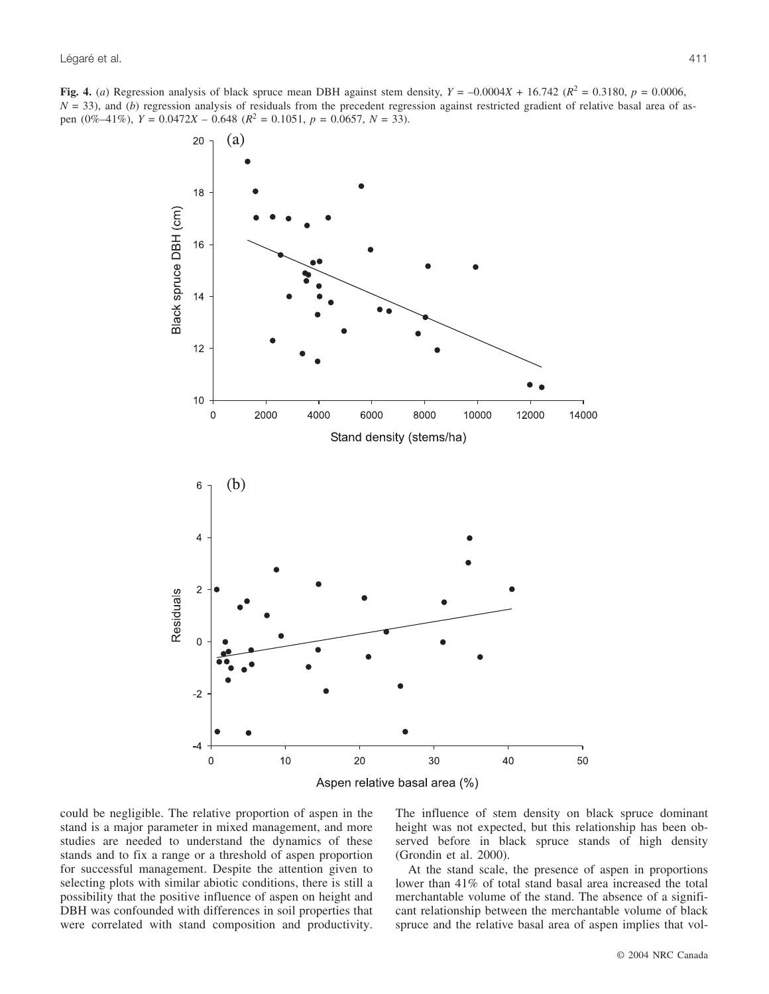**Fig. 4.** (*a*) Regression analysis of black spruce mean DBH against stem density,  $Y = -0.0004X + 16.742$  ( $R^2 = 0.3180$ ,  $p = 0.0006$ ,  $N = 33$ ), and (*b*) regression analysis of residuals from the precedent regression against restricted gradient of relative basal area of aspen  $(0\%-41\%)$ ,  $Y = 0.0472X - 0.648$   $(R^2 = 0.1051$ ,  $p = 0.0657$ ,  $N = 33$ ).



could be negligible. The relative proportion of aspen in the stand is a major parameter in mixed management, and more studies are needed to understand the dynamics of these stands and to fix a range or a threshold of aspen proportion for successful management. Despite the attention given to selecting plots with similar abiotic conditions, there is still a possibility that the positive influence of aspen on height and DBH was confounded with differences in soil properties that were correlated with stand composition and productivity. The influence of stem density on black spruce dominant height was not expected, but this relationship has been observed before in black spruce stands of high density (Grondin et al. 2000).

At the stand scale, the presence of aspen in proportions lower than 41% of total stand basal area increased the total merchantable volume of the stand. The absence of a significant relationship between the merchantable volume of black spruce and the relative basal area of aspen implies that vol-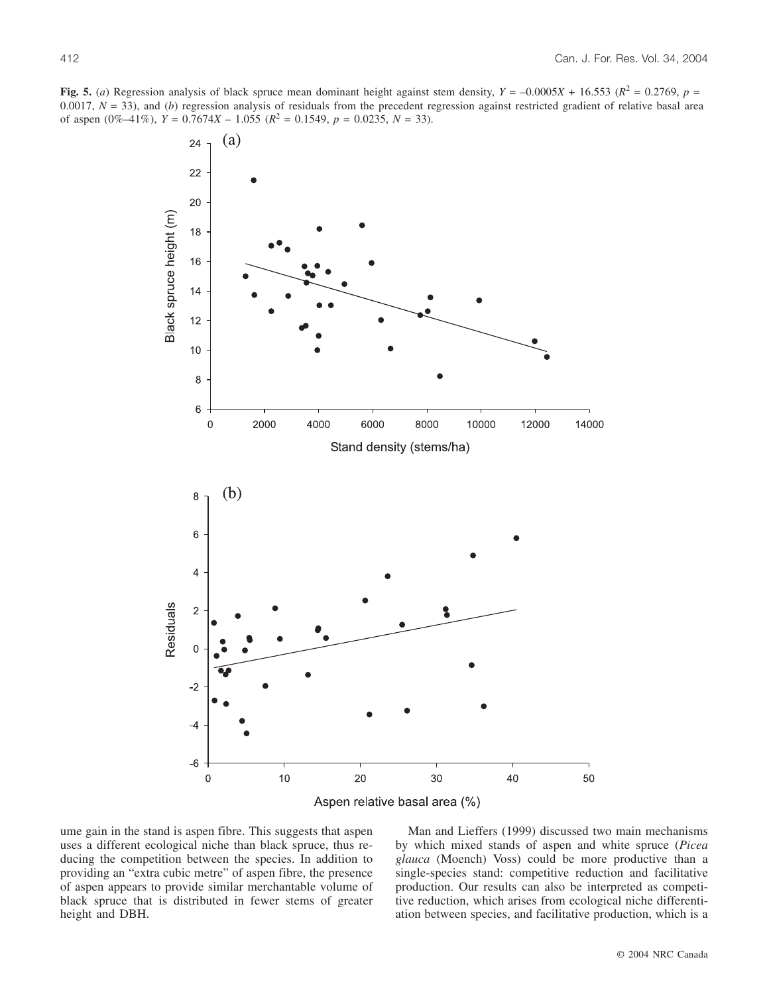**Fig. 5.** (*a*) Regression analysis of black spruce mean dominant height against stem density,  $Y = -0.0005X + 16.553$  ( $R^2 = 0.2769$ ,  $p =$ 0.0017,  $N = 33$ ), and (*b*) regression analysis of residuals from the precedent regression against restricted gradient of relative basal area of aspen  $(0\% -41\%)$ ,  $Y = 0.7674X - 1.055$   $(R^2 = 0.1549, p = 0.0235, N = 33)$ .



ume gain in the stand is aspen fibre. This suggests that aspen uses a different ecological niche than black spruce, thus reducing the competition between the species. In addition to providing an "extra cubic metre" of aspen fibre, the presence of aspen appears to provide similar merchantable volume of black spruce that is distributed in fewer stems of greater height and DBH.

Man and Lieffers (1999) discussed two main mechanisms by which mixed stands of aspen and white spruce (*Picea glauca* (Moench) Voss) could be more productive than a single-species stand: competitive reduction and facilitative production. Our results can also be interpreted as competitive reduction, which arises from ecological niche differentiation between species, and facilitative production, which is a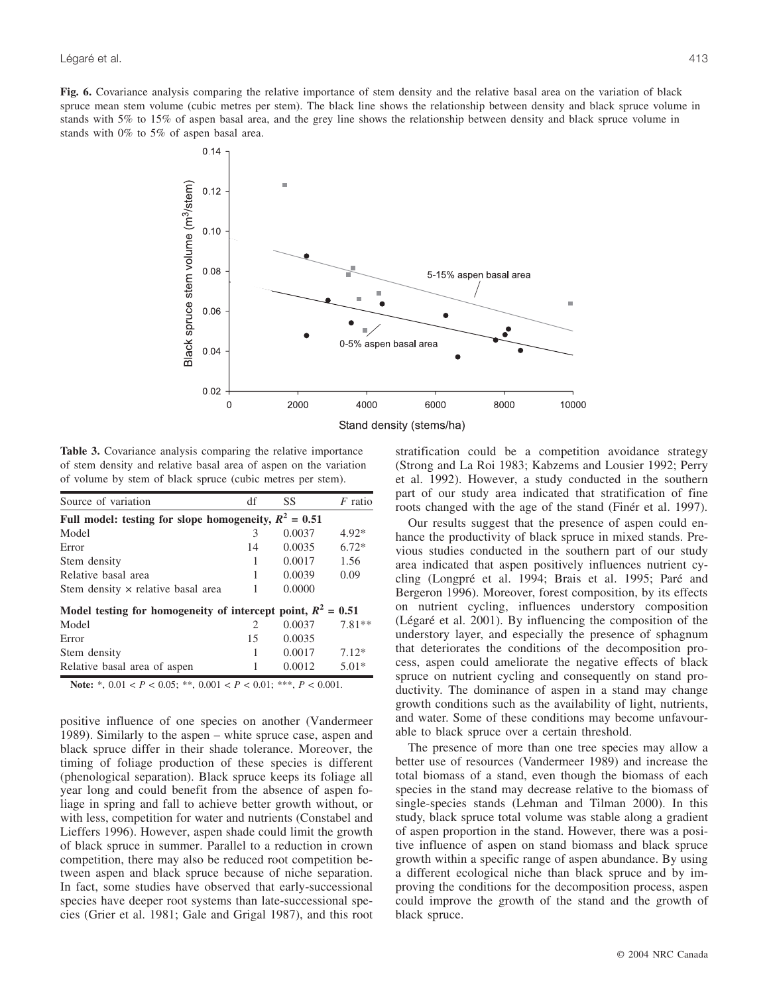**Fig. 6.** Covariance analysis comparing the relative importance of stem density and the relative basal area on the variation of black spruce mean stem volume (cubic metres per stem). The black line shows the relationship between density and black spruce volume in stands with 5% to 15% of aspen basal area, and the grey line shows the relationship between density and black spruce volume in stands with 0% to 5% of aspen basal area.



Stand density (stems/ha)

**Table 3.** Covariance analysis comparing the relative importance of stem density and relative basal area of aspen on the variation of volume by stem of black spruce (cubic metres per stem).

| Source of variation                                            | df                          | SS     | $F$ ratio |
|----------------------------------------------------------------|-----------------------------|--------|-----------|
| Full model: testing for slope homogeneity, $R^2 = 0.51$        |                             |        |           |
| Model                                                          | 3                           | 0.0037 | $4.92*$   |
| Error                                                          | 14                          | 0.0035 | $6.72*$   |
| Stem density                                                   |                             | 0.0017 | 1.56      |
| Relative basal area                                            |                             | 0.0039 | 0.09      |
| Stem density x relative basal area                             |                             | 0.0000 |           |
| Model testing for homogeneity of intercept point, $R^2 = 0.51$ |                             |        |           |
| Model                                                          | $\mathcal{D}_{\mathcal{L}}$ | 0.0037 | $7.81**$  |
| Error                                                          | 15                          | 0.0035 |           |
| Stem density                                                   | 1                           | 0.0017 | $7.12*$   |
| Relative basal area of aspen                                   |                             | 0.0012 | $5.01*$   |

**Note:** \*, 0.01 < *P* < 0.05; \*\*, 0.001 < *P* < 0.01; \*\*\*, *P* < 0.001.

positive influence of one species on another (Vandermeer 1989). Similarly to the aspen – white spruce case, aspen and black spruce differ in their shade tolerance. Moreover, the timing of foliage production of these species is different (phenological separation). Black spruce keeps its foliage all year long and could benefit from the absence of aspen foliage in spring and fall to achieve better growth without, or with less, competition for water and nutrients (Constabel and Lieffers 1996). However, aspen shade could limit the growth of black spruce in summer. Parallel to a reduction in crown competition, there may also be reduced root competition between aspen and black spruce because of niche separation. In fact, some studies have observed that early-successional species have deeper root systems than late-successional species (Grier et al. 1981; Gale and Grigal 1987), and this root stratification could be a competition avoidance strategy (Strong and La Roi 1983; Kabzems and Lousier 1992; Perry et al. 1992). However, a study conducted in the southern part of our study area indicated that stratification of fine roots changed with the age of the stand (Finér et al. 1997).

Our results suggest that the presence of aspen could enhance the productivity of black spruce in mixed stands. Previous studies conducted in the southern part of our study area indicated that aspen positively influences nutrient cycling (Longpré et al. 1994; Brais et al. 1995; Paré and Bergeron 1996). Moreover, forest composition, by its effects on nutrient cycling, influences understory composition (Légaré et al. 2001). By influencing the composition of the understory layer, and especially the presence of sphagnum that deteriorates the conditions of the decomposition process, aspen could ameliorate the negative effects of black spruce on nutrient cycling and consequently on stand productivity. The dominance of aspen in a stand may change growth conditions such as the availability of light, nutrients, and water. Some of these conditions may become unfavourable to black spruce over a certain threshold.

The presence of more than one tree species may allow a better use of resources (Vandermeer 1989) and increase the total biomass of a stand, even though the biomass of each species in the stand may decrease relative to the biomass of single-species stands (Lehman and Tilman 2000). In this study, black spruce total volume was stable along a gradient of aspen proportion in the stand. However, there was a positive influence of aspen on stand biomass and black spruce growth within a specific range of aspen abundance. By using a different ecological niche than black spruce and by improving the conditions for the decomposition process, aspen could improve the growth of the stand and the growth of black spruce.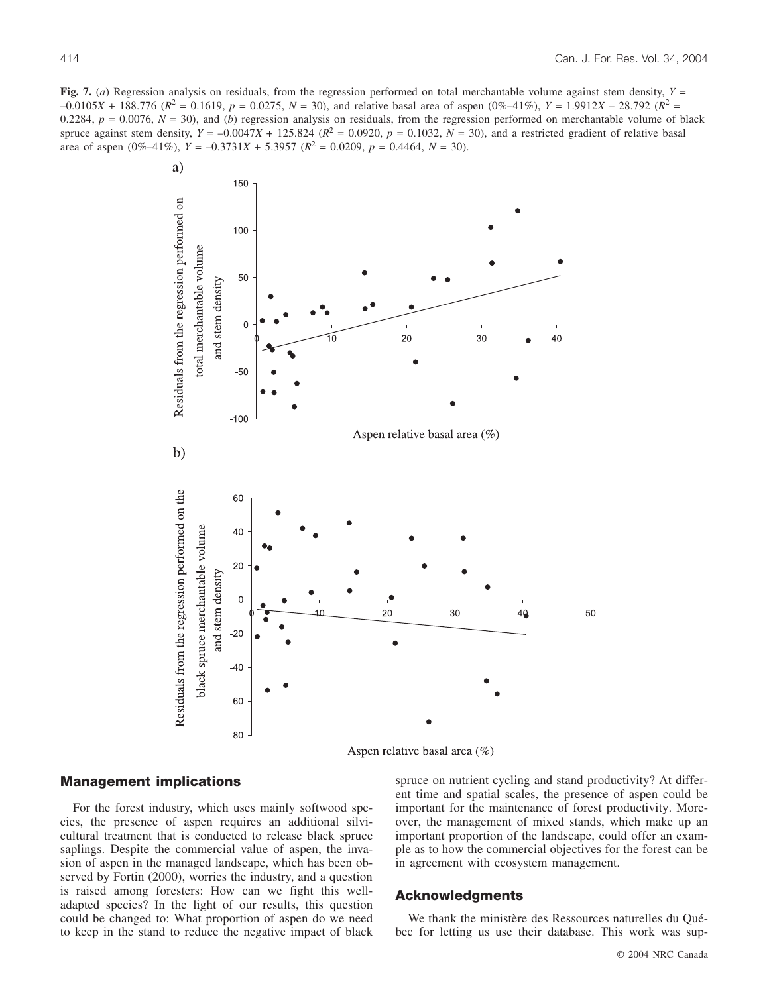**Fig. 7.** (*a*) Regression analysis on residuals, from the regression performed on total merchantable volume against stem density, *Y* =  $-0.0105X + 188.776$  ( $R^2 = 0.1619$ ,  $p = 0.0275$ ,  $N = 30$ ), and relative basal area of aspen (0%–41%),  $Y = 1.9912X - 28.792$  ( $R^2 =$ 0.2284,  $p = 0.0076$ ,  $N = 30$ ), and (*b*) regression analysis on residuals, from the regression performed on merchantable volume of black spruce against stem density,  $Y = -0.0047X + 125.824$  ( $R^2 = 0.0920$ ,  $p = 0.1032$ ,  $N = 30$ ), and a restricted gradient of relative basal area of aspen  $(0\% -41\%)$ ,  $Y = -0.3731X + 5.3957$   $(R^2 = 0.0209, p = 0.4464, N = 30)$ .



Aspen relative basal area (%)

## **Management implications**

For the forest industry, which uses mainly softwood species, the presence of aspen requires an additional silvicultural treatment that is conducted to release black spruce saplings. Despite the commercial value of aspen, the invasion of aspen in the managed landscape, which has been observed by Fortin (2000), worries the industry, and a question is raised among foresters: How can we fight this welladapted species? In the light of our results, this question could be changed to: What proportion of aspen do we need to keep in the stand to reduce the negative impact of black spruce on nutrient cycling and stand productivity? At different time and spatial scales, the presence of aspen could be important for the maintenance of forest productivity. Moreover, the management of mixed stands, which make up an important proportion of the landscape, could offer an example as to how the commercial objectives for the forest can be in agreement with ecosystem management.

## **Acknowledgments**

We thank the ministère des Ressources naturelles du Québec for letting us use their database. This work was sup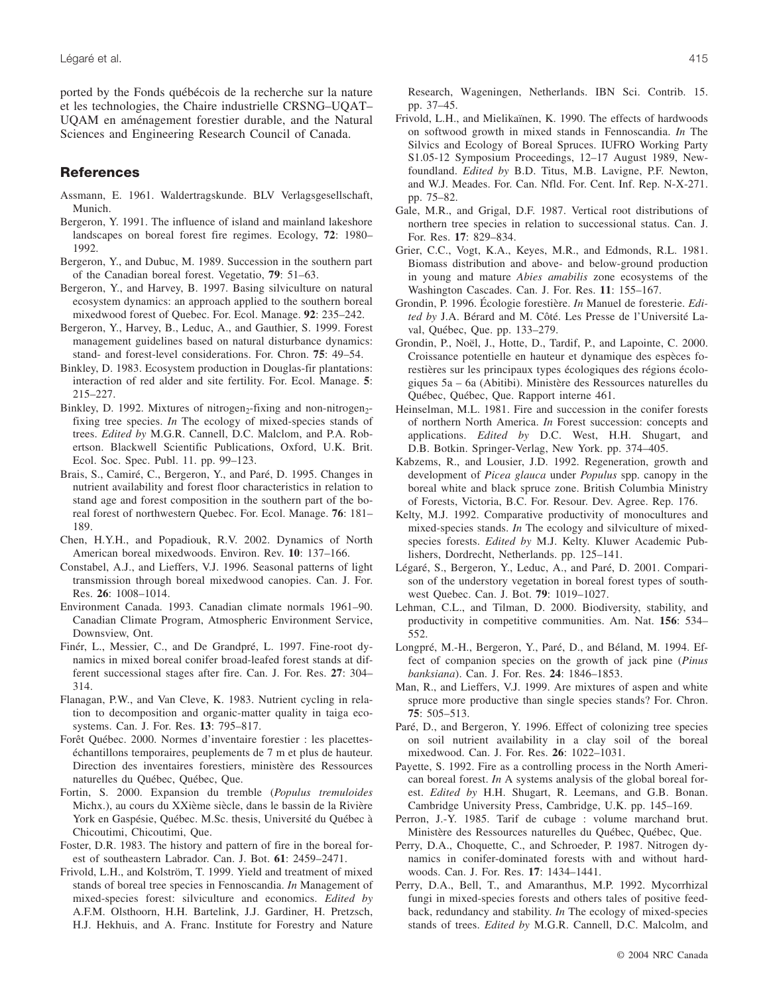ported by the Fonds québécois de la recherche sur la nature et les technologies, the Chaire industrielle CRSNG–UQAT– UQAM en aménagement forestier durable, and the Natural Sciences and Engineering Research Council of Canada.

# **References**

- Assmann, E. 1961. Waldertragskunde. BLV Verlagsgesellschaft, Munich.
- Bergeron, Y. 1991. The influence of island and mainland lakeshore landscapes on boreal forest fire regimes. Ecology, **72**: 1980– 1992.
- Bergeron, Y., and Dubuc, M. 1989. Succession in the southern part of the Canadian boreal forest. Vegetatio, **79**: 51–63.
- Bergeron, Y., and Harvey, B. 1997. Basing silviculture on natural ecosystem dynamics: an approach applied to the southern boreal mixedwood forest of Quebec. For. Ecol. Manage. **92**: 235–242.
- Bergeron, Y., Harvey, B., Leduc, A., and Gauthier, S. 1999. Forest management guidelines based on natural disturbance dynamics: stand- and forest-level considerations. For. Chron. **75**: 49–54.
- Binkley, D. 1983. Ecosystem production in Douglas-fir plantations: interaction of red alder and site fertility. For. Ecol. Manage. **5**: 215–227.
- Binkley, D. 1992. Mixtures of nitrogen<sub>2</sub>-fixing and non-nitrogen<sub>2</sub>fixing tree species. *In* The ecology of mixed-species stands of trees. *Edited by* M.G.R. Cannell, D.C. Malclom, and P.A. Robertson. Blackwell Scientific Publications, Oxford, U.K. Brit. Ecol. Soc. Spec. Publ. 11. pp. 99–123.
- Brais, S., Camiré, C., Bergeron, Y., and Paré, D. 1995. Changes in nutrient availability and forest floor characteristics in relation to stand age and forest composition in the southern part of the boreal forest of northwestern Quebec. For. Ecol. Manage. **76**: 181– 189.
- Chen, H.Y.H., and Popadiouk, R.V. 2002. Dynamics of North American boreal mixedwoods. Environ. Rev. **10**: 137–166.
- Constabel, A.J., and Lieffers, V.J. 1996. Seasonal patterns of light transmission through boreal mixedwood canopies. Can. J. For. Res. **26**: 1008–1014.
- Environment Canada. 1993. Canadian climate normals 1961–90. Canadian Climate Program, Atmospheric Environment Service, Downsview, Ont.
- Finér, L., Messier, C., and De Grandpré, L. 1997. Fine-root dynamics in mixed boreal conifer broad-leafed forest stands at different successional stages after fire. Can. J. For. Res. **27**: 304– 314.
- Flanagan, P.W., and Van Cleve, K. 1983. Nutrient cycling in relation to decomposition and organic-matter quality in taiga ecosystems. Can. J. For. Res. **13**: 795–817.
- Forêt Québec. 2000. Normes d'inventaire forestier : les placetteséchantillons temporaires, peuplements de 7 m et plus de hauteur. Direction des inventaires forestiers, ministère des Ressources naturelles du Québec, Québec, Que.
- Fortin, S. 2000. Expansion du tremble (*Populus tremuloides* Michx.), au cours du XXième siècle, dans le bassin de la Rivière York en Gaspésie, Québec. M.Sc. thesis, Université du Québec à Chicoutimi, Chicoutimi, Que.
- Foster, D.R. 1983. The history and pattern of fire in the boreal forest of southeastern Labrador. Can. J. Bot. **61**: 2459–2471.
- Frivold, L.H., and Kolström, T. 1999. Yield and treatment of mixed stands of boreal tree species in Fennoscandia. *In* Management of mixed-species forest: silviculture and economics. *Edited by* A.F.M. Olsthoorn, H.H. Bartelink, J.J. Gardiner, H. Pretzsch, H.J. Hekhuis, and A. Franc. Institute for Forestry and Nature

Research, Wageningen, Netherlands. IBN Sci. Contrib. 15. pp. 37–45.

- Frivold, L.H., and Mielikaïnen, K. 1990. The effects of hardwoods on softwood growth in mixed stands in Fennoscandia. *In* The Silvics and Ecology of Boreal Spruces. IUFRO Working Party S1.05-12 Symposium Proceedings, 12–17 August 1989, Newfoundland. *Edited by* B.D. Titus, M.B. Lavigne, P.F. Newton, and W.J. Meades. For. Can. Nfld. For. Cent. Inf. Rep. N-X-271. pp. 75–82.
- Gale, M.R., and Grigal, D.F. 1987. Vertical root distributions of northern tree species in relation to successional status. Can. J. For. Res. **17**: 829–834.
- Grier, C.C., Vogt, K.A., Keyes, M.R., and Edmonds, R.L. 1981. Biomass distribution and above- and below-ground production in young and mature *Abies amabilis* zone ecosystems of the Washington Cascades. Can. J. For. Res. **11**: 155–167.
- Grondin, P. 1996. Écologie forestière. *In* Manuel de foresterie. *Edited by* J.A. Bérard and M. Côté. Les Presse de l'Université Laval, Québec, Que. pp. 133–279.
- Grondin, P., Noël, J., Hotte, D., Tardif, P., and Lapointe, C. 2000. Croissance potentielle en hauteur et dynamique des espèces forestières sur les principaux types écologiques des régions écologiques 5a – 6a (Abitibi). Ministère des Ressources naturelles du Québec, Québec, Que. Rapport interne 461.
- Heinselman, M.L. 1981. Fire and succession in the conifer forests of northern North America. *In* Forest succession: concepts and applications. *Edited by* D.C. West, H.H. Shugart, and D.B. Botkin. Springer-Verlag, New York. pp. 374–405.
- Kabzems, R., and Lousier, J.D. 1992. Regeneration, growth and development of *Picea glauca* under *Populus* spp. canopy in the boreal white and black spruce zone. British Columbia Ministry of Forests, Victoria, B.C. For. Resour. Dev. Agree. Rep. 176.
- Kelty, M.J. 1992. Comparative productivity of monocultures and mixed-species stands. *In* The ecology and silviculture of mixedspecies forests. *Edited by* M.J. Kelty. Kluwer Academic Publishers, Dordrecht, Netherlands. pp. 125–141.
- Légaré, S., Bergeron, Y., Leduc, A., and Paré, D. 2001. Comparison of the understory vegetation in boreal forest types of southwest Quebec. Can. J. Bot. **79**: 1019–1027.
- Lehman, C.L., and Tilman, D. 2000. Biodiversity, stability, and productivity in competitive communities. Am. Nat. **156**: 534– 552.
- Longpré, M.-H., Bergeron, Y., Paré, D., and Béland, M. 1994. Effect of companion species on the growth of jack pine (*Pinus banksiana*). Can. J. For. Res. **24**: 1846–1853.
- Man, R., and Lieffers, V.J. 1999. Are mixtures of aspen and white spruce more productive than single species stands? For. Chron. **75**: 505–513.
- Paré, D., and Bergeron, Y. 1996. Effect of colonizing tree species on soil nutrient availability in a clay soil of the boreal mixedwood. Can. J. For. Res. **26**: 1022–1031.
- Payette, S. 1992. Fire as a controlling process in the North American boreal forest. *In* A systems analysis of the global boreal forest. *Edited by* H.H. Shugart, R. Leemans, and G.B. Bonan. Cambridge University Press, Cambridge, U.K. pp. 145–169.
- Perron, J.-Y. 1985. Tarif de cubage : volume marchand brut. Ministère des Ressources naturelles du Québec, Québec, Que.
- Perry, D.A., Choquette, C., and Schroeder, P. 1987. Nitrogen dynamics in conifer-dominated forests with and without hardwoods. Can. J. For. Res. **17**: 1434–1441.
- Perry, D.A., Bell, T., and Amaranthus, M.P. 1992. Mycorrhizal fungi in mixed-species forests and others tales of positive feedback, redundancy and stability. *In* The ecology of mixed-species stands of trees. *Edited by* M.G.R. Cannell, D.C. Malcolm, and